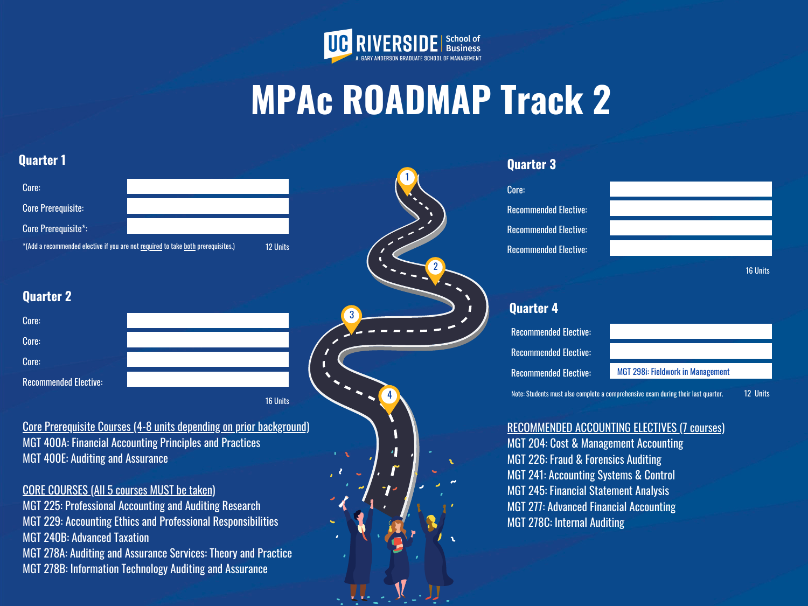2

3

4

# **MPAc ROADMAP Track 2**



1

| <b>Quarter 1</b> |
|------------------|
|------------------|

### **Quarter 2**

Recommended Elective: Recommended Elective: Recommended Elective:

| Core:                                                                             |                 |  |  |
|-----------------------------------------------------------------------------------|-----------------|--|--|
| <b>Core Prerequisite:</b>                                                         |                 |  |  |
| <b>Core Prerequisite*:</b>                                                        |                 |  |  |
| *(Add a recommended elective if you are not required to take both prerequisites.) | <b>12 Units</b> |  |  |

## **Quarter 3**

16 Units

Core:

# **Quarter 4**

RECOMMENDED ACCOUNTING ELECTIVES (7 courses) MGT 204: Cost & Management Accounting MGT 226: Fraud & Forensics Auditing MGT 241: Accounting Systems & Control MGT 245: Financial Statement Analysis MGT 277: Advanced Financial Accounting MGT 278C: Internal Auditing

| Core:                        |                 |
|------------------------------|-----------------|
| Core:                        |                 |
| Core:                        |                 |
| <b>Recommended Elective:</b> |                 |
|                              | <b>16 Units</b> |

Core Prerequisite Courses (4-8 units depending on prior background) MGT 400A: Financial Accounting Principles and Practices MGT 400E: Auditing and Assurance

12 Units Note: Students must also complete a comprehensive exam during their last quarter.

## CORE COURSES (All 5 courses MUST be taken)

MGT 225: Professional Accounting and Auditing Research MGT 229: Accounting Ethics and Professional Responsibilities MGT 240B: Advanced Taxation MGT 278A: Auditing and Assurance Services: Theory and Practice MGT 278B: Information Technology Auditing and Assurance

Recommended Elective: Recommended Elective:

Recommended Elective: MGT 298i: Fieldwork in Management